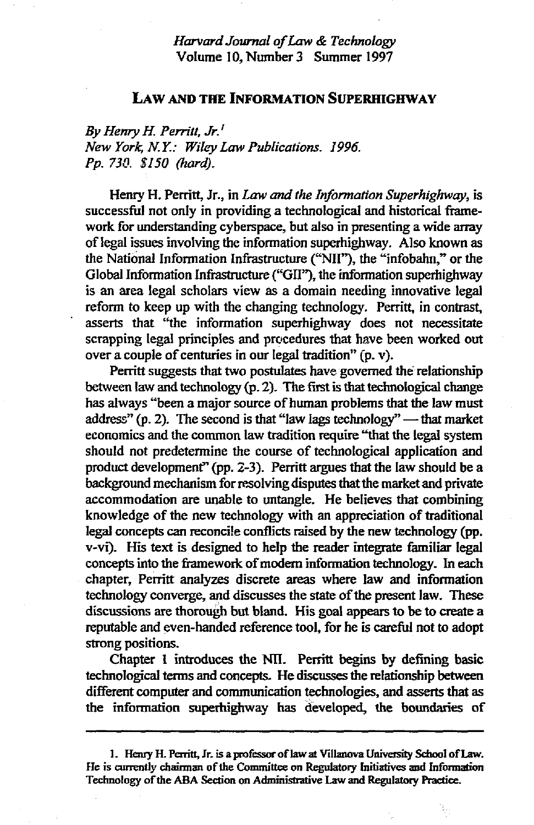## *Harvard Journal of Law & Technology*  Volume 10, Number 3 Summer 1997

## **LAW AND THE INFORMATION SUPERHIGHWAY**

*By Henry H. Perritt, Jr.<sup>1</sup> New York, N. Y.: Wiley Law Publications. 1996. Pp. 730. \$I50 (hard).* 

Henry H. Perritt, Jr., in *Law and the Information Superhighway,* is successful not only in providing a technological and historical framework for understanding cyberspace, but also in presenting a wide array of legal issues involving the information superhighway. Also known as the National Information Infrastructure ("NII"), the "infobahn," or the Global Information Infrastructure ("GII"), the information superhighway is an area legal scholars view as a domain needing innovative legal reform to keep up with the changing technology. Perritt, in contrast, asserts that "the information superhighway does not necessitate scrapping legal principles and procedures that have been worked out over a couple of centuries in our legal tradition" (p. v).

Perritt suggests that two postulates have governed the relationship between law and technology (p. 2). The first is that technological change has always "been a major source of human problems that the law must address" (p. 2). The second is that "law lags technology" — that market economics and the common law tradition require "that the legal system should not predetermine the course of technological application and product development" (pp. 2-3). Perritt argues that the law should be a background mechanism for resolving disputes that the market and private accommodation are unable to untangle. He believes that combining knowledge of the new technology with an appreciation of traditional legal concepts can reconcile conflicts raised by the new technology (pp. v-vi). His text is designed to help the reader integrate familiar legal concepts into the framework of modem information technology. In each chapter, Perritt analyzes discrete areas where law and information technology converge, and discusses the state of the present law. These discussions are thorough but bland. His goal appears to be to create a reputable and even-handed reference tool, for he is careful not to adopt strong positions.

Chapter 1 introduces the Nil. Perritt begins by defining basic technological terms and concepts. He discusses the relationship between different computer and communication technologies, and asserts that as the information superhighway has developed, the boundaries of

<sup>1.</sup> Henry H. Pearitt, Jr. is a professor of law at Villanova University School of Law. He is currently chairman of the Committee on Regulatory Initiatives and Information Technology of the ABA Section on Administrative Law and Regulatory Practice.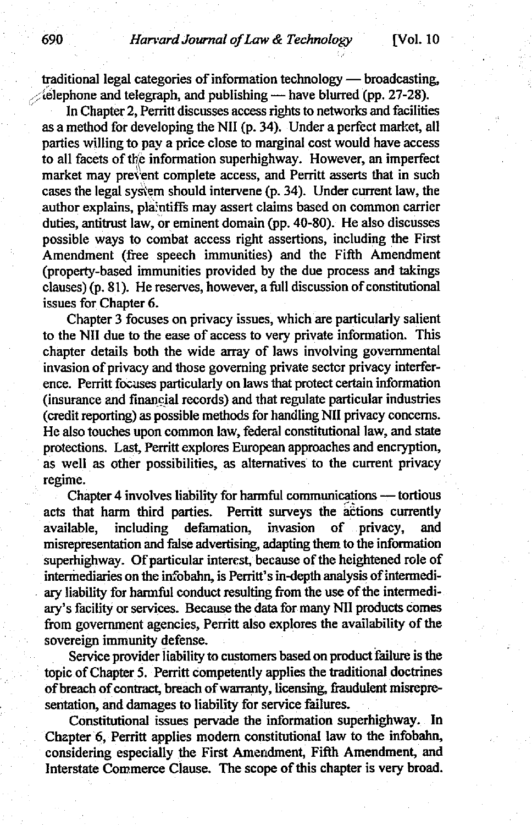## 690 *Harvard Journal of Law & Technology* [Vol. 10

traditional legal categories of information technology — broadcasting,  $\mathcal{L}$  elephone and telegraph, and publishing — have blurred (pp. 27-28).

In Chapter 2, Perritt discusses access rights to networks and facilities as a method for developing the Nil (p. 34). Under a perfect market, all parties willing to pay a price close to marginal cost would have access to all facets of the information superhighway. However, an imperfect market may prevent complete access, and Perritt asserts that in such cases the legal system should intervene (p. 34). Under current law, the author explains, plaintiffs may assert claims based on common carrier duties, antitrust law, or eminent domain (pp. 40-80). He also discusses possible ways to combat access fight assertions, including the First Amendment (free speech immunities) and the Fifth Amendment (property-based immunities provided by the due process and takings  $clauses)$  (p. 81). He reserves, however, a full discussion of constitutional issues for Chapter 6.

Chapter 3 focuses on privacy issues, which are particularly salient to the Nil due to the ease of access to very private information. This chapter details both the wide array of laws involving governmental invasion of privacy and those governing private sector privacy interference. Perritt focuses particularly on laws that protect certain information (insurance end financial records) and that regulate particular industries (credit reporting) as possible methods for handling Nil privacy concerns. He also touches upon common law, federal constitutional law, and state protections. Last, Perritt explores European approaches and encryption, as well as other possibilities, as alternatives to the current privacy regime.

Chapter 4 involves liability for harmful communications -- tortious acts that harm third parties. Perritt surveys the actions currently available, including defamation, invasion of privacy, and misrepresentation and false advertising, adapting them to the information superhighway. Of particular interest, because of the heightened role of intermediaries on the infobahn, is Perritt's in-depth analysis of intermediary liability for harmful conduct resulting from the use of the intermediary's facility or services. Because the data for many Nil products comes from government agencies, Perritt also explores the availability of the sovereign immunity defense.

Service provider liability to customers based on product failure is the topic of Chapter 5. Perritt competently applies the traditional doctrines of breach of contract, breach of warranty, licensing, fraudulent misrepresentation, and damages to liability for service failures.

Constitutional issues pervade the information superhighway. In Chapter 6, Perritt applies modem constitutional law to the infobahn, considering especially the First Amendment, Fifth Amendment, and Interstate Commerce Clause. The scope of this chapter is very broad.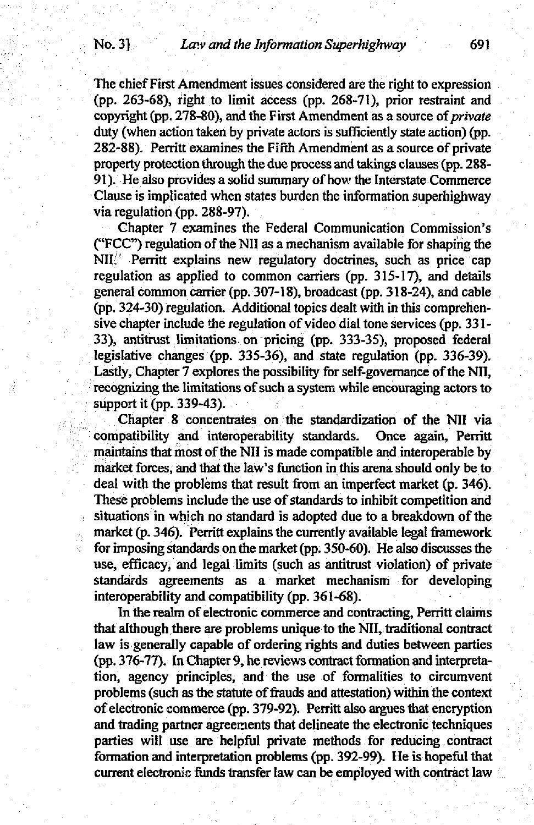The chief First Amendment issues considered are the right to expression (pp. 263-68), tight to limit access (pp. 268-71), prior restraint and copyright (pp. 278-80), and the First Amendment as a source *of private*  duty (when action taken by private actors is sufficiently state action) (pp. 282-88). Perritt examines the Fifth Amendment as a source of private property protection through the due process and takings clauses(pp. 288- 91). He also provides a solid summary of how the Interstate Commerce Clause is implicated when states burden the information superhighway via regulation (pp. 288-97).

Chapter 7 examines the Federal Communication Commission's ("FCC") regulation of the NII as a mechanism available for shaping the NII<sup>/</sup> Perritt explains new regulatory doctrines, such as price cap regulation as applied to common carriers (pp.  $315-17$ ), and details general common carrier (pp. 307-18), broadcast (pp. 318-24), and cable (pp. 324-30) regulation. Additional topics dealt with in this comprehensive chapter include the regulation of video dial tone services (pp. 331- 33), antitrust limitations on pricing (pp. 333-35), proposed federal legislative changes (pp. 335-36), and state regulation (pp. 336-39). Lastly, Chapter 7 explores the possibility for self-governance of the Nil, recognizing the limitations of such a system while encouraging actors to support it (pp. 339-43).

Chapter 8 concentrates on the standardization of the NII via compatibility and interoperability standards. Once again, Perritt maintains that most of the NII is made compatible and interoperable by market forces, and that the law's function in this arena should only be to deal with the problems that result from an imperfect market (p. 346). These problems include the use of standards to inhibit competition and situations in which no standard is adopted due to a breakdown of the market (p. 346). Perritt explains the currently available legal framework for imposing standards on the market (pp. 350-60). He also discusses the use, efficacy, and legal limits (such as antitrust violation) of private standards agreements as a market mechanism for developing interoperability and compatibility (pp. 361-68).

In the realm of electronic commerce and contracting, Perritt claims that although there are problems unique to the Nil, traditional contract law is generally capable of ordering rights and duties between parties (pp. 376- 77). In Chapter 9, he reviews contract formation and interpretation, agency principles, and the use of formalities to circumvent problems (such as the statute of frauds and attestation) within the context of electronic commerce (pp. 379-92). Perritt also argues that encryption and trading partner agreements that delineate the electronic techniques parties will use are helpful private methods for reducing contract formation and interpretation problems (pp. 392-99). He is hopeful that current electronic funds transfer law can be employed with contract law

ę.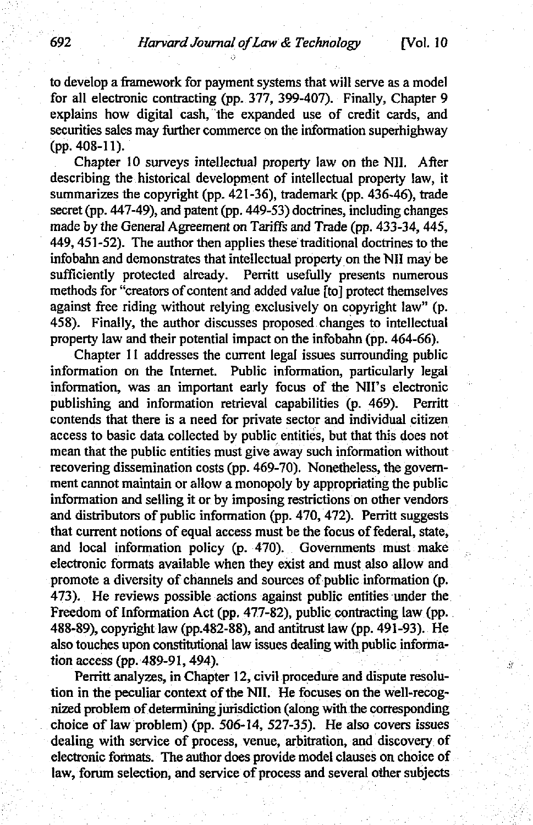to develop a framework for payment systems that will serve as a model for all electronic contracting (pp. 377, 399-407). Finally, Chapter 9 explains how digital cash, the expanded use of credit cards, and securities sales may further commerce on the information superhighway **(pp. 408-11).** 

Chapter 10 surveys intellectual property law on the Nil. After describing the historical development of intellectual property law, it summarizes the copyright (pp. 421-36), trademark (pp. 436-46), trade secret (pp. 447-49), and patent (pp. 449-53) doctrines, including changes made by the General Agreement on Tariffs and Trade (pp. 433-34, 445, 449, 451-52). The author then applies these traditional doctrines to the infobahn and demonstrates that intellectual property on the Nil may be sufficiently protected already. Perritt usefully presents numerous methods for "creators of content and added value [to] protect themselves against free riding without relying exclusively on copyright law" (p. 458). Finally, the author discusses proposed changes to intellectual property law and their potential impact on the infobahn (pp. 464-66).

Chapter 11 addresses the current legal issues surrounding public information on the Internet. Public information, particularly legal information, was an important early focus of the NII's electronic publishing and information retrieval capabilities (p. 469). Perritt contends that there is a need for private sector and individual citizen access to basic data collected by public entities, but that this does not mean that the public entities must give away such information without recovering dissemination costs (pp. 469-70). Nonetheless, the government cannot maintain or allow a monopoly by appropriating the public information and selling it or by imposing restrictions on other vendors and distributors of public information (pp. 470, 472). Perritt suggests that current notions of equal access must be the focus of federal, state, and local information policy (p. 470). Governments must make electronic formats available when they exist and must also allow and promote a diversity of channels and sources of public information (p. 473). He reviews possible actions against public entities under the Freedom of Information Act (pp. 477-82), public contracting law (pp. 488-89), copyright law (pp.482-88), and antitrust law (pp. 491-93). He also touches upon constitutional law issues dealing with public information access (pp. 489-91,494).

Perritt analyzes, in Chapter 12, civil procedure and dispute resolution in the peculiar context of the Nil. He focuses on the well-recognized problem of determining jurisdiction (along with the corresponding choice of law problem) (pp. 506-14, 527-35). He also covers issues dealing with service of process, venue, arbitration, and discovery of electronic formats. The author does provide model clauses on choice of law, forum selection, and service of process and several other subjects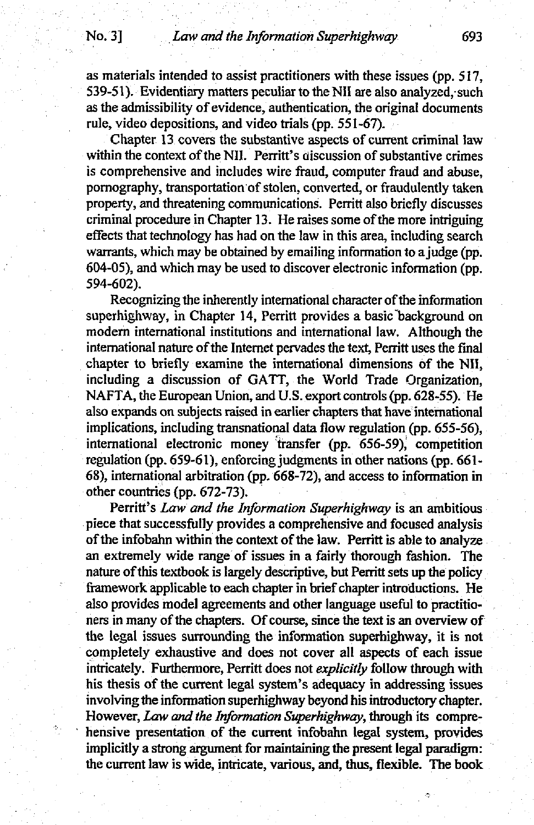as materials intended to assist practitioners with these issues (pp. 517, 539-51). Evidentiary matters peculiar to the NII are also analyzed, such as the admissibility of evidence, authentication, the original documents rule, video depositions, and video trials (pp. 551-67).

Chapter 13 covers the substantive aspects of current criminal law within the context of the NII. Perritt's discussion of substantive crimes is comprehensive and includes wire fraud, computer fraud and abuse, pomography, transportation of stolen, converted, or fraudulently taken property, and threatening communications. Perritt also briefly discusses criminal procedure in Chapter 13. He raises some of the more intriguing effects that technology has had on the law in this area, including search warrants, which may be obtained by emailing information to a judge (pp. 604-05), and which may be used to discover electronic information (pp. 594-602).

Recognizing the inherently international character of the information superhighway, in Chapter 14, Perritt provides a basic background on modern intemational institutions and international law. Although the intemational nature of the Intemet pervades the text, Perritt uses the final chapter to briefly examine the international dimensions of the Nil, including a discussion of GATT, the World Trade Organization, NAFTA, the European Union, and U.S. export controls (pp. 628-55). He also expands on subjects raised in earlier chapters that have international implications, including transnational data flow regulation (pp. 655-56), international electronic money transfer (pp. 656-59), competition regulation (pp. 659-61), enforcing judgments in other nations (pp. 661- 68), international arbitration (pp. 668-72), and access to information in other countries (pp. 672-73).

Perritt's *Law and the Information Superhighway* is an ambitious piece that successfully provides a comprehensive and focused analysis of the infobahn within the context of the law. Perritt is able to analyze an extremely wide range of issues in a fairly thorough fashion. The nature of this textbook is largely descriptive, but Perritt sets up the policy framework applicable to each chapter in brief chapter introductions. He also provides model agreements and other language useful to practitioners in many of the chapters. Of course, since the text is an overview of the legal issues surrounding the information superhighway, it is not completely exhaustive and does not cover all aspects of each issue intricately. Furthermore, Perritt does not *explicitly* follow through with his thesis of the current legal system's adequacy in addressing issues involving the information superhighway beyond his introductory chapter. However, Law and *the Information Superhighway,* through its comprehensive presentation of the current infobahn legal system, provides implicitly a strong argument for maintaining the present legal paradigm: the current law is wide, intricate, various, and, thus, flexible. The book